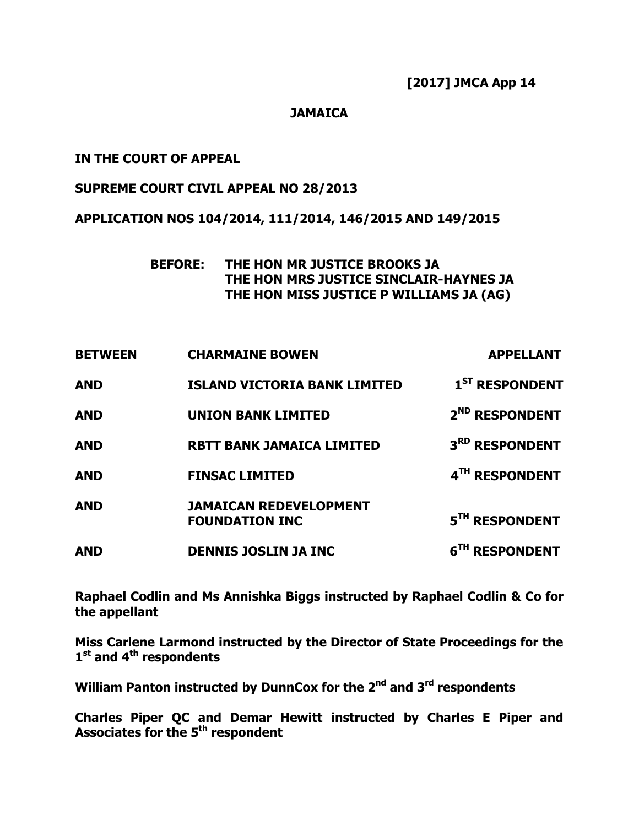#### **JAMAICA**

## **IN THE COURT OF APPEAL**

#### **SUPREME COURT CIVIL APPEAL NO 28/2013**

#### **APPLICATION NOS 104/2014, 111/2014, 146/2015 AND 149/2015**

## **BEFORE: THE HON MR JUSTICE BROOKS JA THE HON MRS JUSTICE SINCLAIR-HAYNES JA THE HON MISS JUSTICE P WILLIAMS JA (AG)**

| <b>BETWEEN</b> | <b>CHARMAINE BOWEN</b>                                 | <b>APPELLANT</b>           |
|----------------|--------------------------------------------------------|----------------------------|
| <b>AND</b>     | <b>ISLAND VICTORIA BANK LIMITED</b>                    | 1 <sup>ST</sup> RESPONDENT |
| <b>AND</b>     | <b>UNION BANK LIMITED</b>                              | 2 <sup>ND</sup> RESPONDENT |
| <b>AND</b>     | <b>RBTT BANK JAMAICA LIMITED</b>                       | 3RD RESPONDENT             |
| <b>AND</b>     | <b>FINSAC LIMITED</b>                                  | 4TH RESPONDENT             |
| <b>AND</b>     | <b>JAMAICAN REDEVELOPMENT</b><br><b>FOUNDATION INC</b> | 5TH RESPONDENT             |
| <b>AND</b>     | <b>DENNIS JOSLIN JA INC</b>                            | 6 <sup>TH</sup> RESPONDENT |

**Raphael Codlin and Ms Annishka Biggs instructed by Raphael Codlin & Co for the appellant**

**Miss Carlene Larmond instructed by the Director of State Proceedings for the 1 st and 4th respondents**

**William Panton instructed by DunnCox for the 2 nd and 3 rd respondents**

**Charles Piper QC and Demar Hewitt instructed by Charles E Piper and Associates for the 5 th respondent**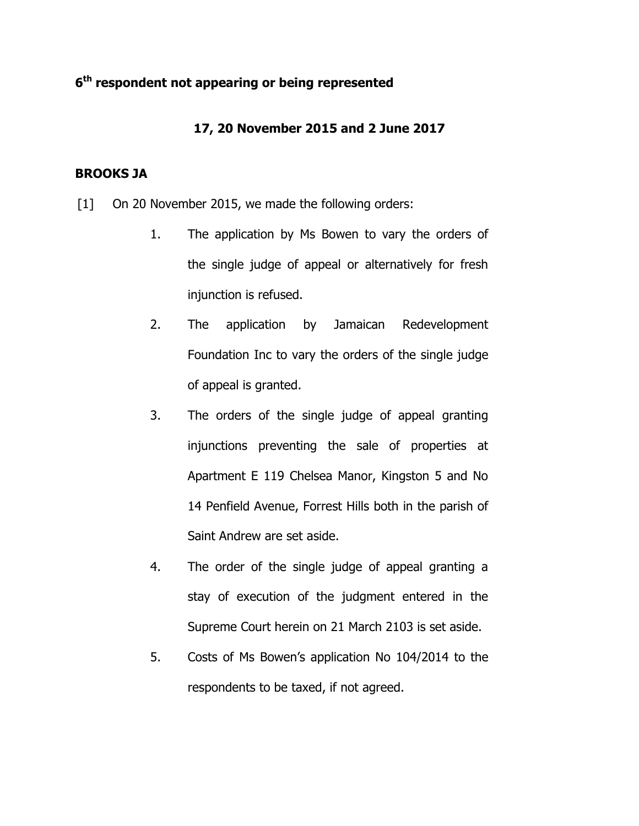## **6 th respondent not appearing or being represented**

## **17, 20 November 2015 and 2 June 2017**

## **BROOKS JA**

- [1] On 20 November 2015, we made the following orders:
	- 1. The application by Ms Bowen to vary the orders of the single judge of appeal or alternatively for fresh injunction is refused.
	- 2. The application by Jamaican Redevelopment Foundation Inc to vary the orders of the single judge of appeal is granted.
	- 3. The orders of the single judge of appeal granting injunctions preventing the sale of properties at Apartment E 119 Chelsea Manor, Kingston 5 and No 14 Penfield Avenue, Forrest Hills both in the parish of Saint Andrew are set aside.
	- 4. The order of the single judge of appeal granting a stay of execution of the judgment entered in the Supreme Court herein on 21 March 2103 is set aside.
	- 5. Costs of Ms Bowen's application No 104/2014 to the respondents to be taxed, if not agreed.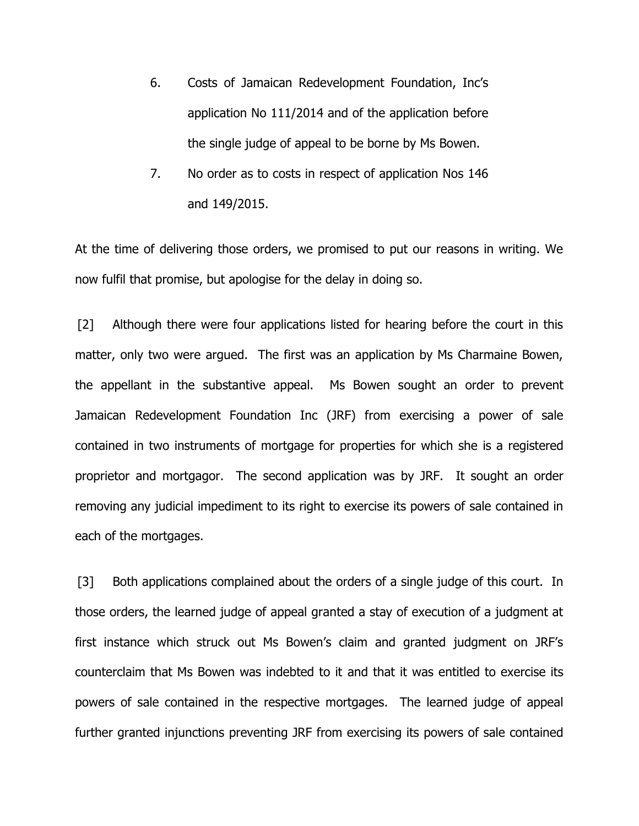- 6. Costs of Jamaican Redevelopment Foundation, Inc's application No 111/2014 and of the application before the single judge of appeal to be borne by Ms Bowen.
- 7. No order as to costs in respect of application Nos 146 and 149/2015.

At the time of delivering those orders, we promised to put our reasons in writing. We now fulfil that promise, but apologise for the delay in doing so.

[2] Although there were four applications listed for hearing before the court in this matter, only two were argued. The first was an application by Ms Charmaine Bowen, the appellant in the substantive appeal. Ms Bowen sought an order to prevent Jamaican Redevelopment Foundation Inc (JRF) from exercising a power of sale contained in two instruments of mortgage for properties for which she is a registered proprietor and mortgagor. The second application was by JRF. It sought an order removing any judicial impediment to its right to exercise its powers of sale contained in each of the mortgages.

[3] Both applications complained about the orders of a single judge of this court. In those orders, the learned judge of appeal granted a stay of execution of a judgment at first instance which struck out Ms Bowen's claim and granted judgment on JRF's counterclaim that Ms Bowen was indebted to it and that it was entitled to exercise its powers of sale contained in the respective mortgages. The learned judge of appeal further granted injunctions preventing JRF from exercising its powers of sale contained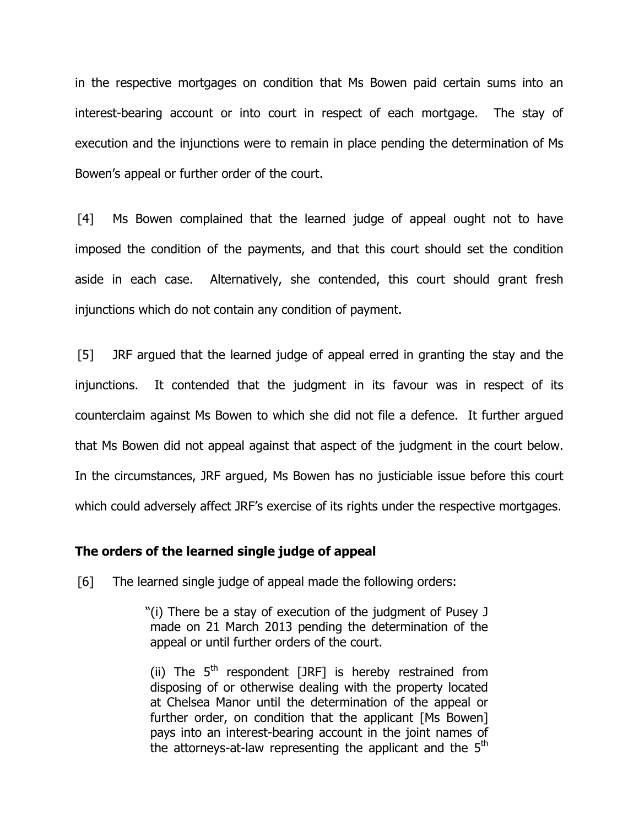in the respective mortgages on condition that Ms Bowen paid certain sums into an interest-bearing account or into court in respect of each mortgage. The stay of execution and the injunctions were to remain in place pending the determination of Ms Bowen's appeal or further order of the court.

[4] Ms Bowen complained that the learned judge of appeal ought not to have imposed the condition of the payments, and that this court should set the condition aside in each case. Alternatively, she contended, this court should grant fresh injunctions which do not contain any condition of payment.

[5] JRF argued that the learned judge of appeal erred in granting the stay and the injunctions. It contended that the judgment in its favour was in respect of its counterclaim against Ms Bowen to which she did not file a defence. It further argued that Ms Bowen did not appeal against that aspect of the judgment in the court below. In the circumstances, JRF argued, Ms Bowen has no justiciable issue before this court which could adversely affect JRF's exercise of its rights under the respective mortgages.

#### **The orders of the learned single judge of appeal**

[6] The learned single judge of appeal made the following orders:

"(i) There be a stay of execution of the judgment of Pusey J made on 21 March 2013 pending the determination of the appeal or until further orders of the court.

(ii) The  $5<sup>th</sup>$  respondent [JRF] is hereby restrained from disposing of or otherwise dealing with the property located at Chelsea Manor until the determination of the appeal or further order, on condition that the applicant [Ms Bowen] pays into an interest-bearing account in the joint names of the attorneys-at-law representing the applicant and the 5<sup>th</sup>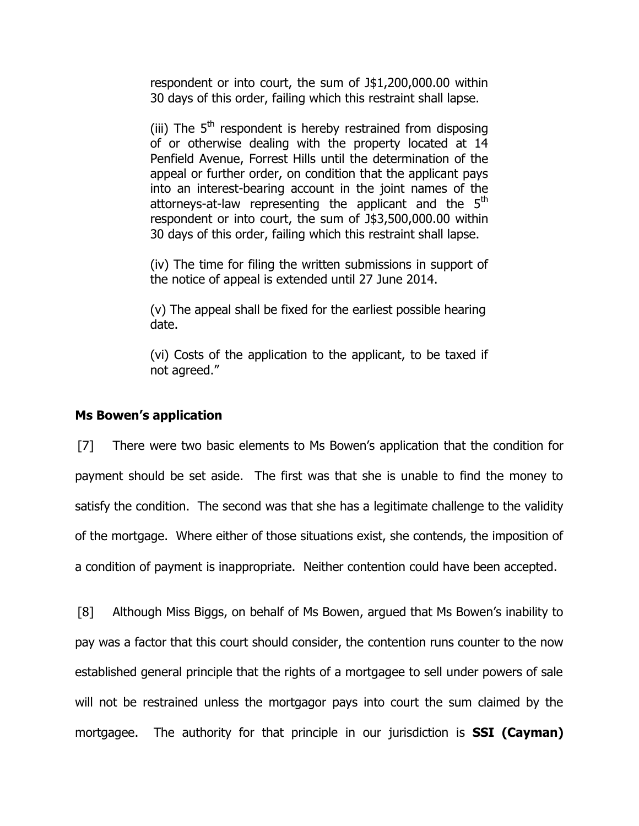respondent or into court, the sum of J\$1,200,000.00 within 30 days of this order, failing which this restraint shall lapse.

(iii) The  $5<sup>th</sup>$  respondent is hereby restrained from disposing of or otherwise dealing with the property located at 14 Penfield Avenue, Forrest Hills until the determination of the appeal or further order, on condition that the applicant pays into an interest-bearing account in the joint names of the attorneys-at-law representing the applicant and the  $5<sup>th</sup>$ respondent or into court, the sum of J\$3,500,000.00 within 30 days of this order, failing which this restraint shall lapse.

(iv) The time for filing the written submissions in support of the notice of appeal is extended until 27 June 2014.

(v) The appeal shall be fixed for the earliest possible hearing date.

(vi) Costs of the application to the applicant, to be taxed if not agreed."

#### **Ms Bowen's application**

[7] There were two basic elements to Ms Bowen's application that the condition for payment should be set aside. The first was that she is unable to find the money to satisfy the condition. The second was that she has a legitimate challenge to the validity of the mortgage. Where either of those situations exist, she contends, the imposition of a condition of payment is inappropriate. Neither contention could have been accepted.

[8] Although Miss Biggs, on behalf of Ms Bowen, argued that Ms Bowen's inability to pay was a factor that this court should consider, the contention runs counter to the now established general principle that the rights of a mortgagee to sell under powers of sale will not be restrained unless the mortgagor pays into court the sum claimed by the mortgagee. The authority for that principle in our jurisdiction is **SSI (Cayman)**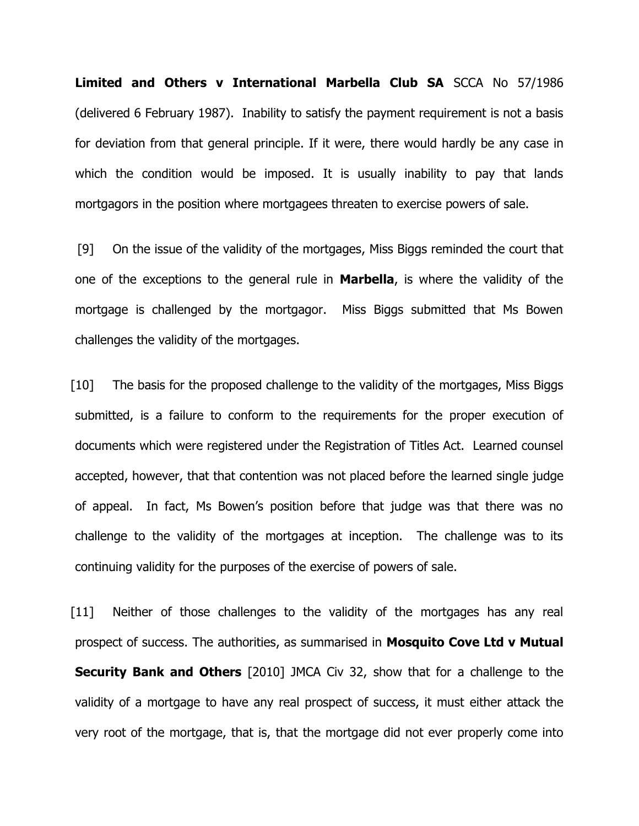**Limited and Others v International Marbella Club SA** SCCA No 57/1986 (delivered 6 February 1987). Inability to satisfy the payment requirement is not a basis for deviation from that general principle. If it were, there would hardly be any case in which the condition would be imposed. It is usually inability to pay that lands mortgagors in the position where mortgagees threaten to exercise powers of sale.

[9] On the issue of the validity of the mortgages, Miss Biggs reminded the court that one of the exceptions to the general rule in **Marbella**, is where the validity of the mortgage is challenged by the mortgagor. Miss Biggs submitted that Ms Bowen challenges the validity of the mortgages.

[10] The basis for the proposed challenge to the validity of the mortgages, Miss Biggs submitted, is a failure to conform to the requirements for the proper execution of documents which were registered under the Registration of Titles Act. Learned counsel accepted, however, that that contention was not placed before the learned single judge of appeal. In fact, Ms Bowen's position before that judge was that there was no challenge to the validity of the mortgages at inception. The challenge was to its continuing validity for the purposes of the exercise of powers of sale.

[11] Neither of those challenges to the validity of the mortgages has any real prospect of success. The authorities, as summarised in **Mosquito Cove Ltd v Mutual Security Bank and Others** [2010] JMCA Civ 32, show that for a challenge to the validity of a mortgage to have any real prospect of success, it must either attack the very root of the mortgage, that is, that the mortgage did not ever properly come into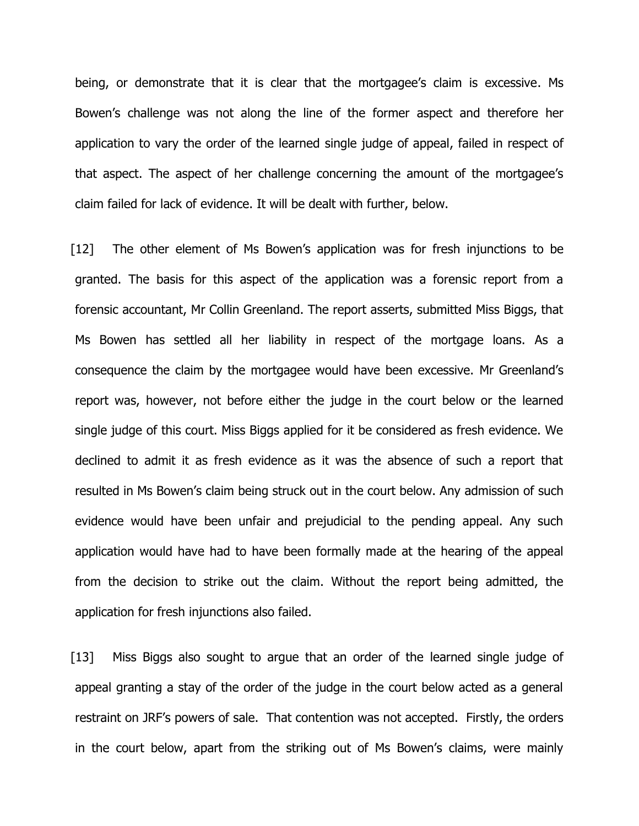being, or demonstrate that it is clear that the mortgagee's claim is excessive. Ms Bowen's challenge was not along the line of the former aspect and therefore her application to vary the order of the learned single judge of appeal, failed in respect of that aspect. The aspect of her challenge concerning the amount of the mortgagee's claim failed for lack of evidence. It will be dealt with further, below.

[12] The other element of Ms Bowen's application was for fresh injunctions to be granted. The basis for this aspect of the application was a forensic report from a forensic accountant, Mr Collin Greenland. The report asserts, submitted Miss Biggs, that Ms Bowen has settled all her liability in respect of the mortgage loans. As a consequence the claim by the mortgagee would have been excessive. Mr Greenland's report was, however, not before either the judge in the court below or the learned single judge of this court. Miss Biggs applied for it be considered as fresh evidence. We declined to admit it as fresh evidence as it was the absence of such a report that resulted in Ms Bowen's claim being struck out in the court below. Any admission of such evidence would have been unfair and prejudicial to the pending appeal. Any such application would have had to have been formally made at the hearing of the appeal from the decision to strike out the claim. Without the report being admitted, the application for fresh injunctions also failed.

[13] Miss Biggs also sought to argue that an order of the learned single judge of appeal granting a stay of the order of the judge in the court below acted as a general restraint on JRF's powers of sale. That contention was not accepted. Firstly, the orders in the court below, apart from the striking out of Ms Bowen's claims, were mainly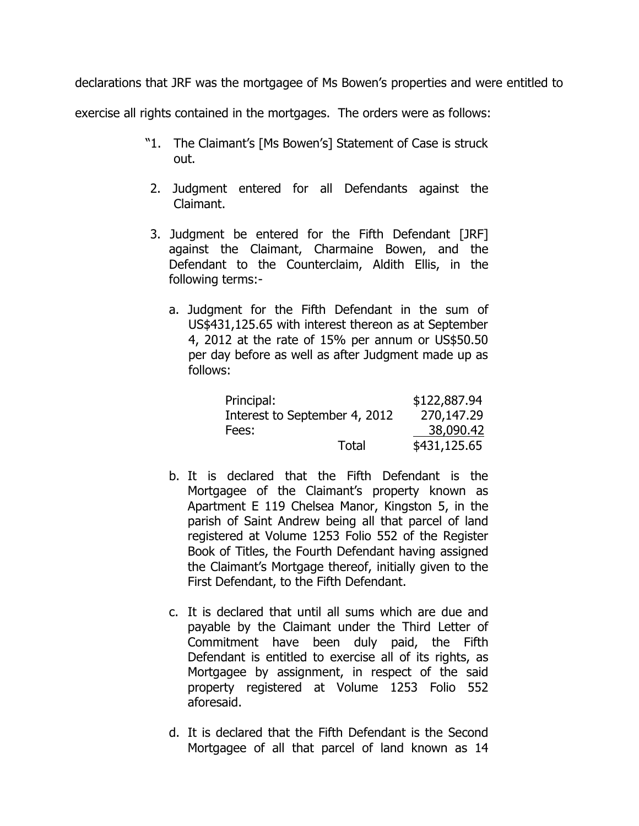declarations that JRF was the mortgagee of Ms Bowen's properties and were entitled to

exercise all rights contained in the mortgages. The orders were as follows:

- "1. The Claimant's [Ms Bowen's] Statement of Case is struck out.
- 2. Judgment entered for all Defendants against the Claimant.
- 3. Judgment be entered for the Fifth Defendant [JRF] against the Claimant, Charmaine Bowen, and the Defendant to the Counterclaim, Aldith Ellis, in the following terms:
	- a. Judgment for the Fifth Defendant in the sum of US\$431,125.65 with interest thereon as at September 4, 2012 at the rate of 15% per annum or US\$50.50 per day before as well as after Judgment made up as follows:

| Principal:                    |       | \$122,887.94 |
|-------------------------------|-------|--------------|
| Interest to September 4, 2012 |       | 270,147.29   |
| Fees:                         |       | 38,090.42    |
|                               | Total | \$431,125.65 |

- b. It is declared that the Fifth Defendant is the Mortgagee of the Claimant's property known as Apartment E 119 Chelsea Manor, Kingston 5, in the parish of Saint Andrew being all that parcel of land registered at Volume 1253 Folio 552 of the Register Book of Titles, the Fourth Defendant having assigned the Claimant's Mortgage thereof, initially given to the First Defendant, to the Fifth Defendant.
- c. It is declared that until all sums which are due and payable by the Claimant under the Third Letter of Commitment have been duly paid, the Fifth Defendant is entitled to exercise all of its rights, as Mortgagee by assignment, in respect of the said property registered at Volume 1253 Folio 552 aforesaid.
- d. It is declared that the Fifth Defendant is the Second Mortgagee of all that parcel of land known as 14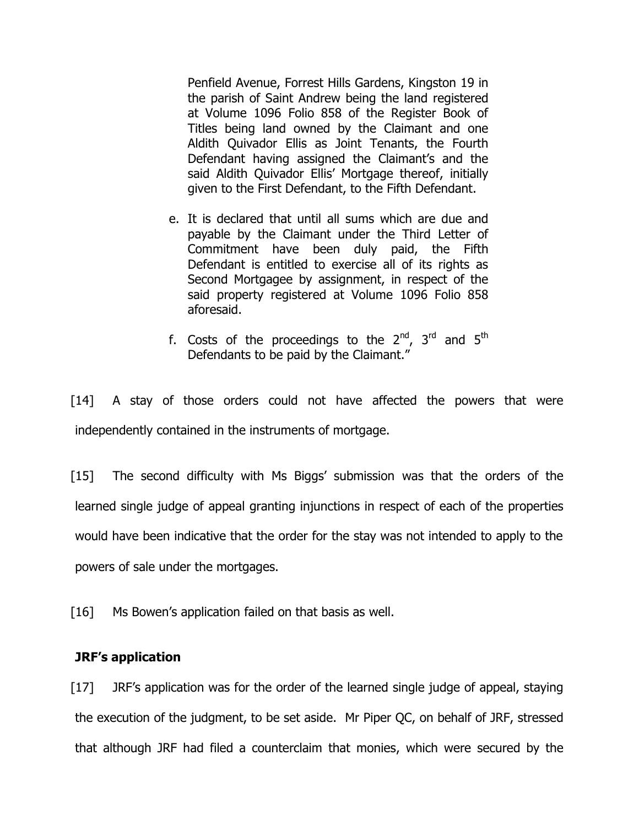Penfield Avenue, Forrest Hills Gardens, Kingston 19 in the parish of Saint Andrew being the land registered at Volume 1096 Folio 858 of the Register Book of Titles being land owned by the Claimant and one Aldith Quivador Ellis as Joint Tenants, the Fourth Defendant having assigned the Claimant's and the said Aldith Quivador Ellis' Mortgage thereof, initially given to the First Defendant, to the Fifth Defendant.

- e. It is declared that until all sums which are due and payable by the Claimant under the Third Letter of Commitment have been duly paid, the Fifth Defendant is entitled to exercise all of its rights as Second Mortgagee by assignment, in respect of the said property registered at Volume 1096 Folio 858 aforesaid.
- f. Costs of the proceedings to the  $2^{nd}$ ,  $3^{rd}$  and  $5^{th}$ Defendants to be paid by the Claimant."

[14] A stay of those orders could not have affected the powers that were independently contained in the instruments of mortgage.

[15] The second difficulty with Ms Biggs' submission was that the orders of the learned single judge of appeal granting injunctions in respect of each of the properties would have been indicative that the order for the stay was not intended to apply to the powers of sale under the mortgages.

[16] Ms Bowen's application failed on that basis as well.

#### **JRF's application**

[17] JRF's application was for the order of the learned single judge of appeal, staying the execution of the judgment, to be set aside. Mr Piper QC, on behalf of JRF, stressed that although JRF had filed a counterclaim that monies, which were secured by the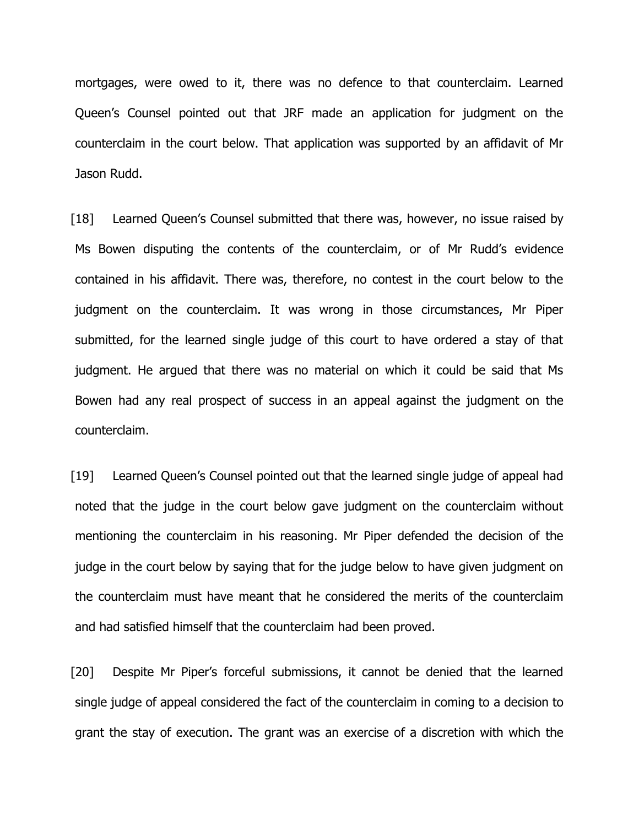mortgages, were owed to it, there was no defence to that counterclaim. Learned Queen's Counsel pointed out that JRF made an application for judgment on the counterclaim in the court below. That application was supported by an affidavit of Mr Jason Rudd.

[18] Learned Queen's Counsel submitted that there was, however, no issue raised by Ms Bowen disputing the contents of the counterclaim, or of Mr Rudd's evidence contained in his affidavit. There was, therefore, no contest in the court below to the judgment on the counterclaim. It was wrong in those circumstances, Mr Piper submitted, for the learned single judge of this court to have ordered a stay of that judgment. He argued that there was no material on which it could be said that Ms Bowen had any real prospect of success in an appeal against the judgment on the counterclaim.

[19] Learned Queen's Counsel pointed out that the learned single judge of appeal had noted that the judge in the court below gave judgment on the counterclaim without mentioning the counterclaim in his reasoning. Mr Piper defended the decision of the judge in the court below by saying that for the judge below to have given judgment on the counterclaim must have meant that he considered the merits of the counterclaim and had satisfied himself that the counterclaim had been proved.

[20] Despite Mr Piper's forceful submissions, it cannot be denied that the learned single judge of appeal considered the fact of the counterclaim in coming to a decision to grant the stay of execution. The grant was an exercise of a discretion with which the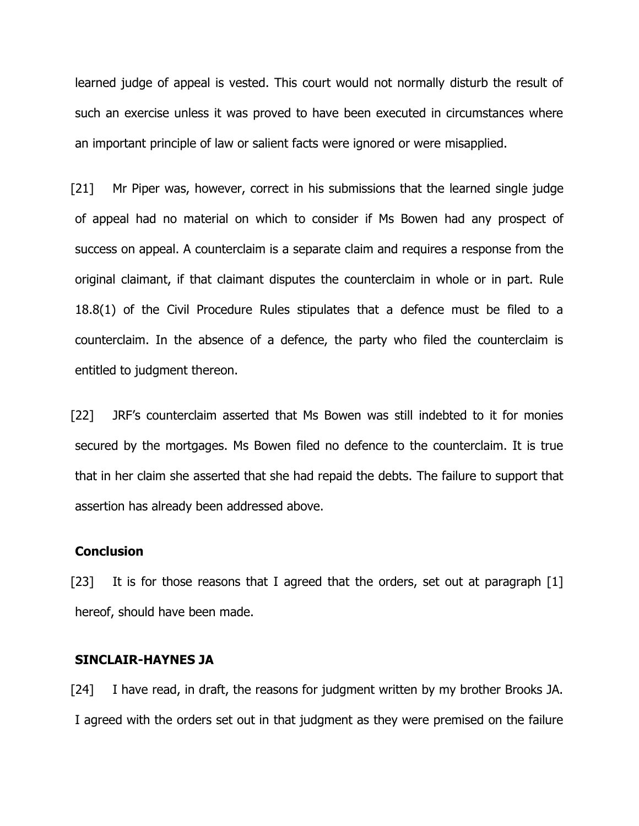learned judge of appeal is vested. This court would not normally disturb the result of such an exercise unless it was proved to have been executed in circumstances where an important principle of law or salient facts were ignored or were misapplied.

[21] Mr Piper was, however, correct in his submissions that the learned single judge of appeal had no material on which to consider if Ms Bowen had any prospect of success on appeal. A counterclaim is a separate claim and requires a response from the original claimant, if that claimant disputes the counterclaim in whole or in part. Rule 18.8(1) of the Civil Procedure Rules stipulates that a defence must be filed to a counterclaim. In the absence of a defence, the party who filed the counterclaim is entitled to judgment thereon.

[22] JRF's counterclaim asserted that Ms Bowen was still indebted to it for monies secured by the mortgages. Ms Bowen filed no defence to the counterclaim. It is true that in her claim she asserted that she had repaid the debts. The failure to support that assertion has already been addressed above.

#### **Conclusion**

[23] It is for those reasons that I agreed that the orders, set out at paragraph [1] hereof, should have been made.

#### **SINCLAIR-HAYNES JA**

[24] I have read, in draft, the reasons for judgment written by my brother Brooks JA. I agreed with the orders set out in that judgment as they were premised on the failure